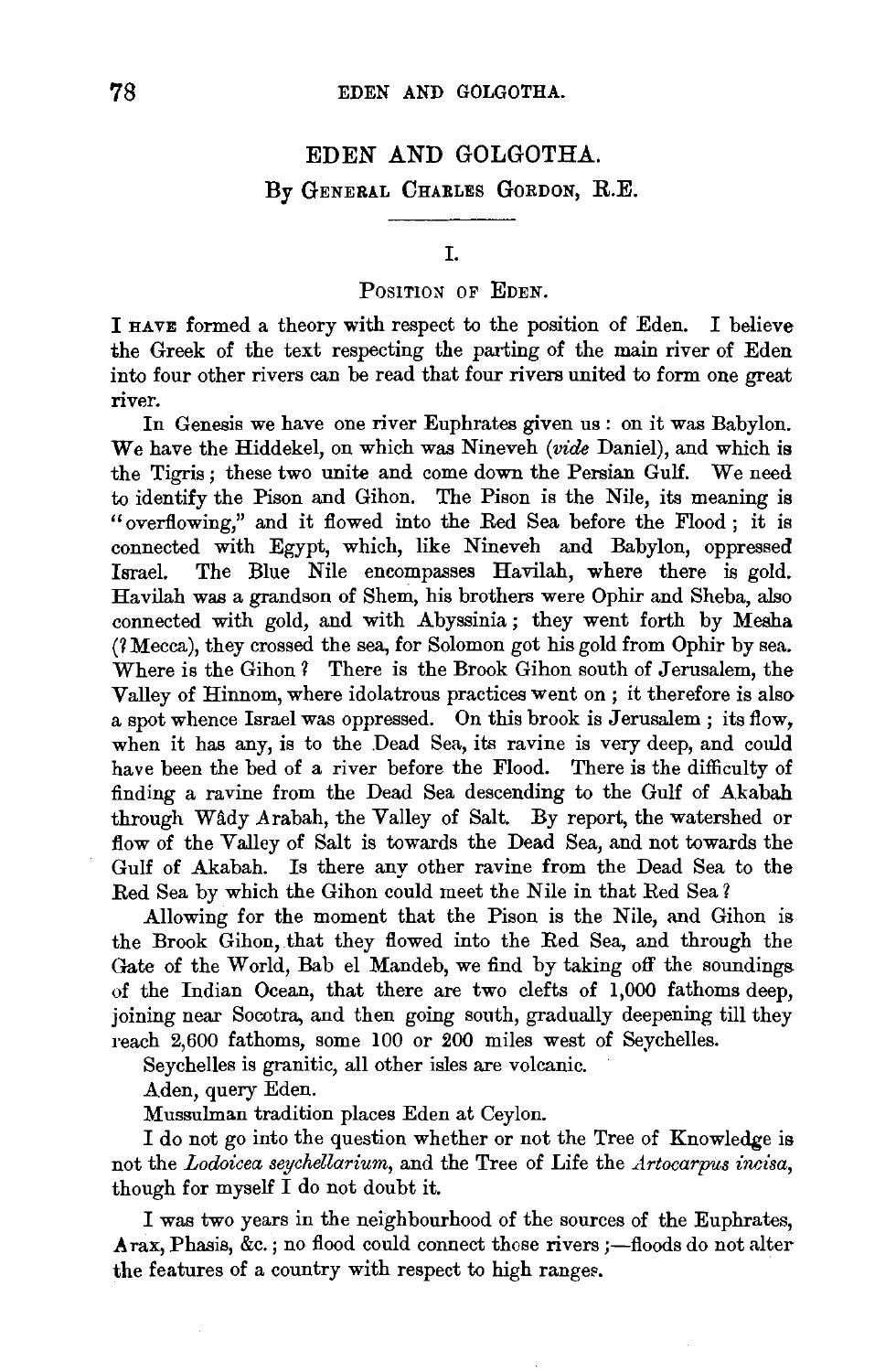## EDEN AND GOLGOTHA. By GENERAL CHARLES GORDON, R.E.

I.

## POSITION OF EDEN.

I HAVE formed a theory with respect to the position of Eden. I believe the Greek of the text respecting the parting of the main river of Eden into four other rivers can be read that four rivers united to form one great river.

In Genesis we have one river Euphrates given us : on it was Babylon. We have the Hiddekel, on which was Nineveh *(vide* Daniel), and which is the Tigris ; these two unite and come down the Persian Gulf. We need to identify the Pison and Gihon. The Pison is the Nile, its meaning is "overflowing," and it flowed into the Red Sea before the Flood ; it is connected with Egypt, which, like Nineveh and Babylon, oppressed Israel. The Blue Nile encompasses Havilah, where there is gold. Havilah was a grandson of Shem, his brothers were Ophir and Sheba, also connected with gold, and with Abyssinia ; they went forth by Mesha (1 Mecca), they crossed the sea, for Solomon got his gold from Ophir by sea. Where is the Gihon ? There is the Brook Gihon south of Jerusalem, the Valley of Hinnom, where idolatrous practices went on ; it therefore is also a spot whence Israel was oppressed. On this brook is Jerusalem ; its flow, when it has any, is to the Dead Sea, its ravine is very deep, and could have been the bed of a river before the Flood. There is the difficulty of finding a ravine from the Dead Sea descending to the Gulf of Akabah through Wâdy Arabah, the Valley of Salt. By report, the watershed or flow of the Valley of Salt is towards the Dead Sea, and not towards the Gulf of Akabah. Is there any other ravine from the Dead Sea to the Red Sea by which the Gihon could meet the Nile in that Red Sea 1

Allowing for the moment that the Pison is the Nile, and Gihon is the Brook Gihon, that they flowed into the Red Sea, and through the Gate of the World, Bab el Mandeb, we find by taking off the soundings of the Indian Ocean, that there are two clefts of 1,000 fathoms deep, joining near Socotra, and then going south, gradually deepening till they reach 2,600 fathoms, some 100 or 200 miles west of Seychelles.

Seychelles is granitic, all other isles are volcanic.

Aden, query Eden.

Mussuhnan tradition places Eden at Ceylon.

I do not go into the question whether or not the Tree of Knowledge is not the *Lodoicea seychellarium,* and the Tree of Life the *Artocarpus incisa,*  though for myself I do not doubt it.

I was two years in the neighbourhood of the sources of the Euphrates,  $\Delta$ rax, Phasis, &c.; no flood could connect those rivers ;—floods do not alter the features of a country with respect to high ranges.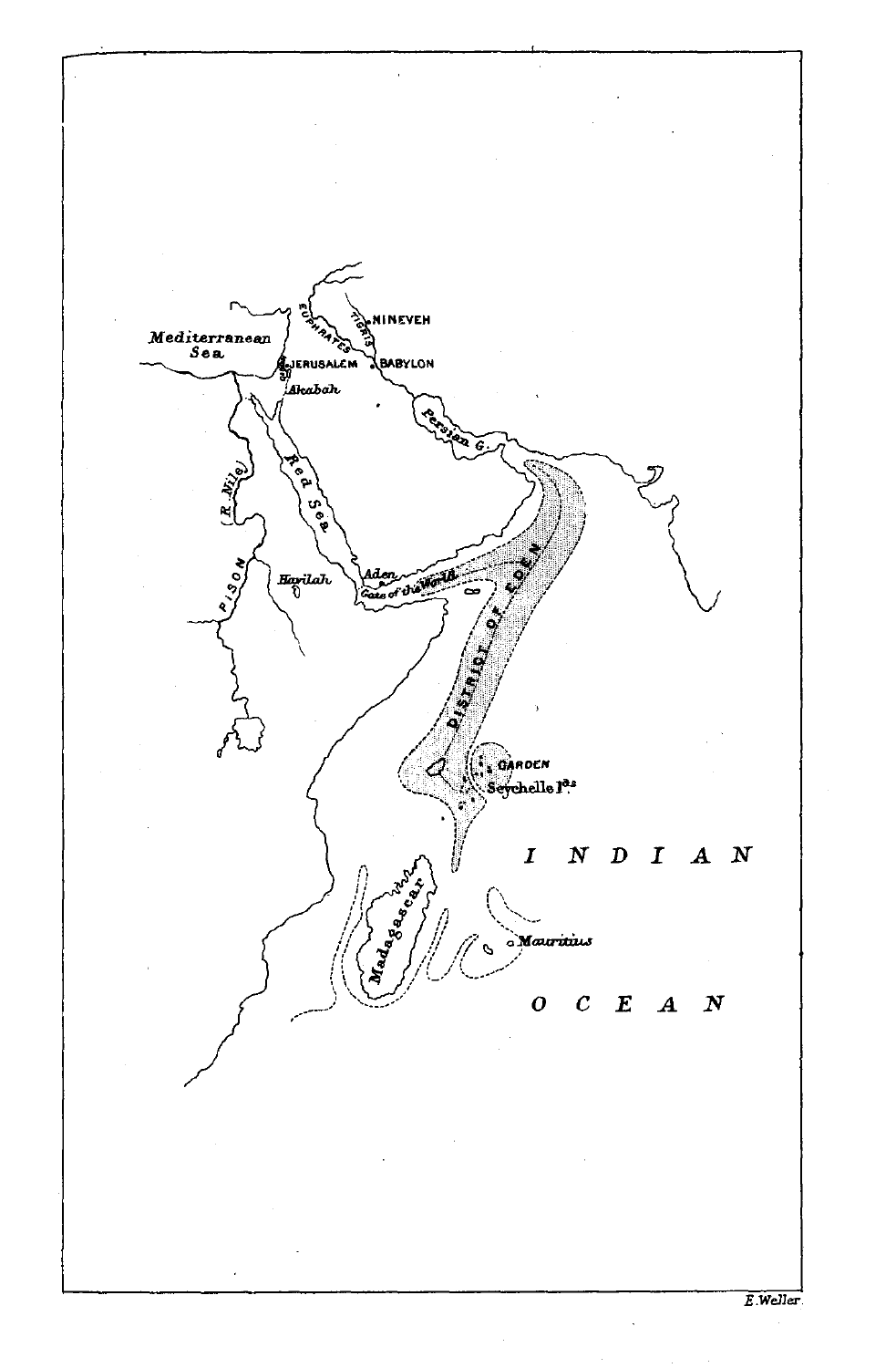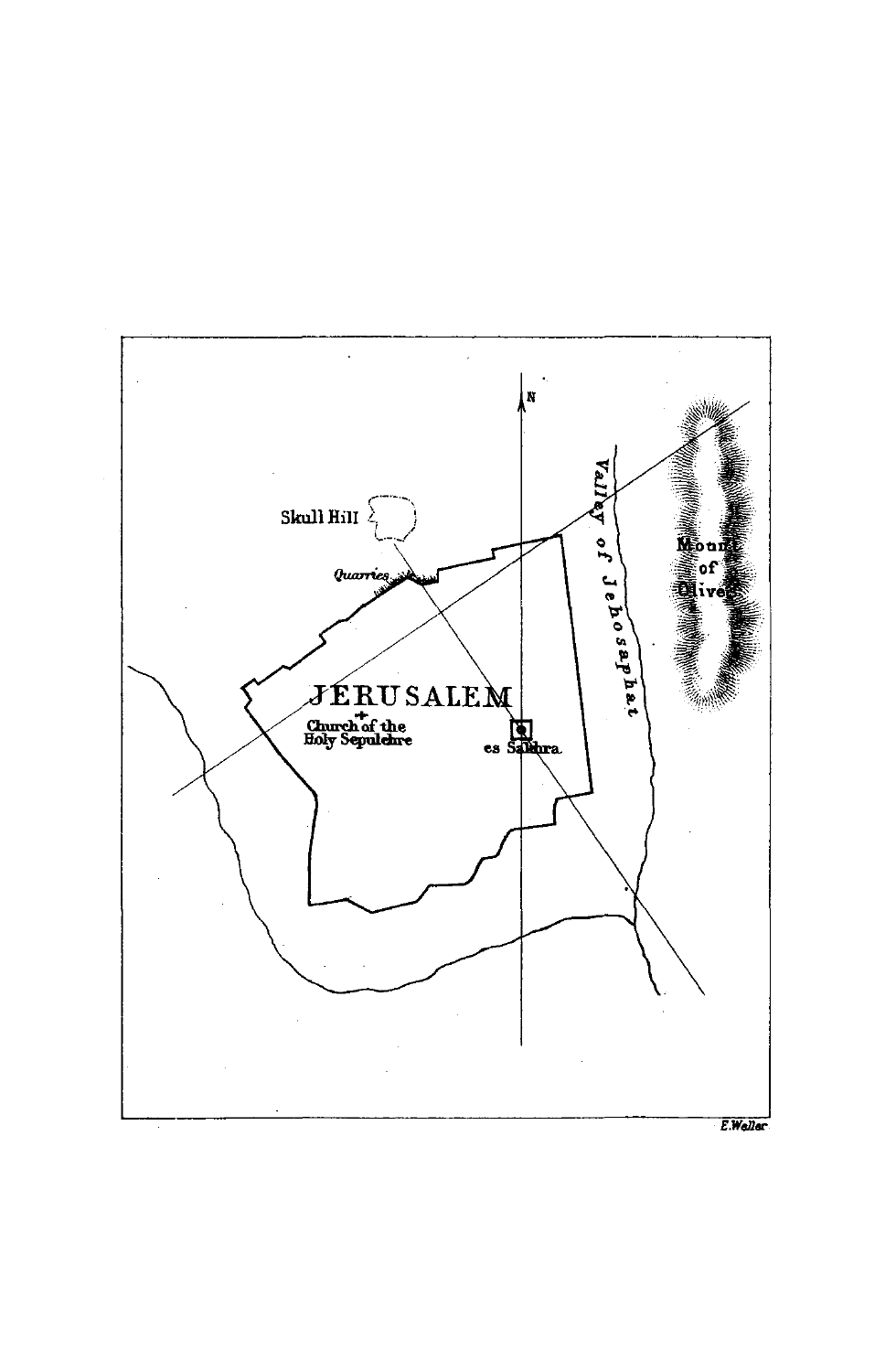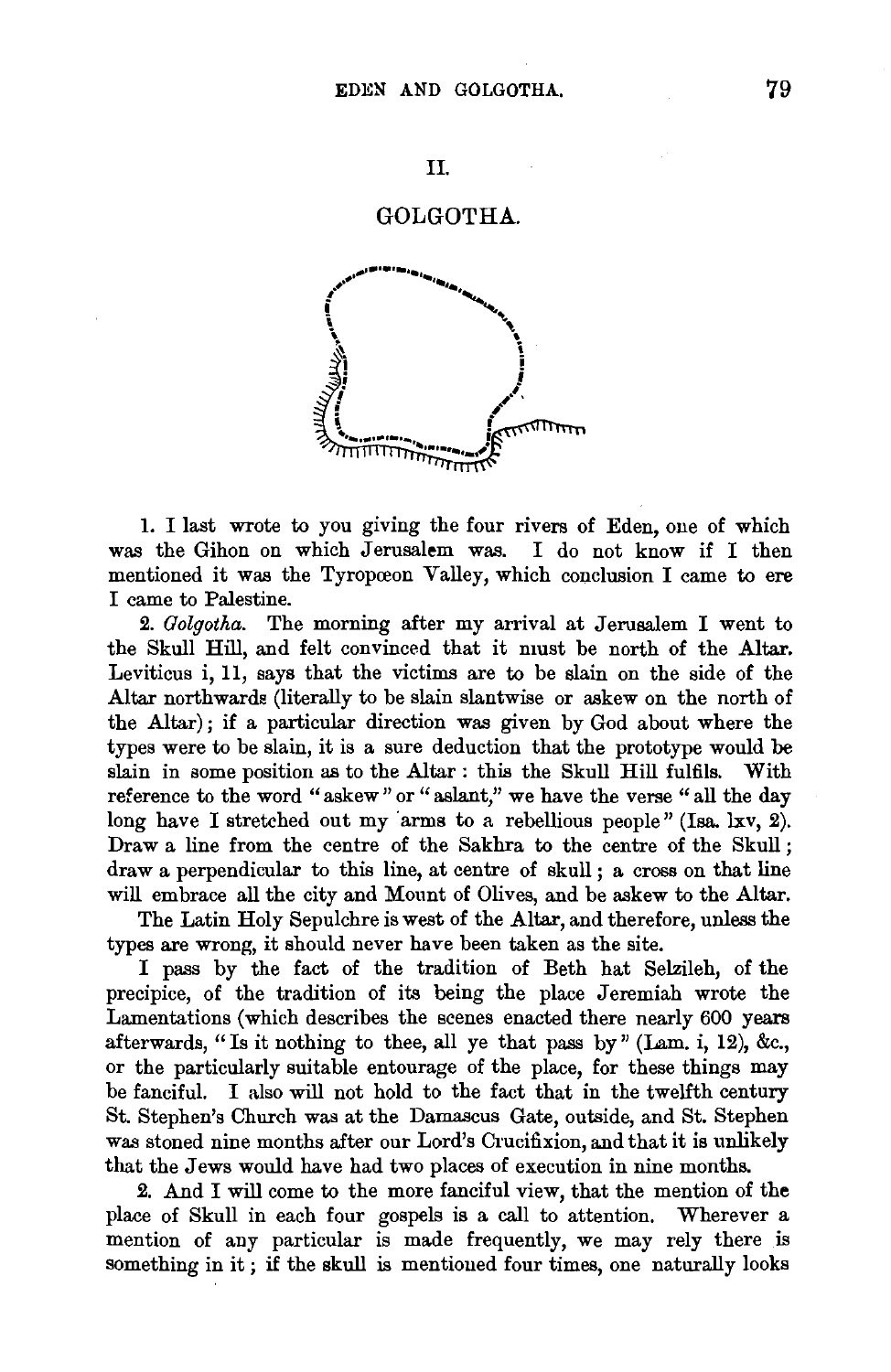## GOLGOTHA.



1. I last wrote to you giving the four rivers of Eden, one of which was the Gihon on which Jerusalem was. I do not know if I then mentioned it was the Tyropœon Valley, which conclusion I came to ere I came to Palestine.

2. *Golgotha.* The morning after my arrival at Jerusalem I went to the Skull Hill, and felt convinced that it must be north of the Altar. Leviticus i, 11, says that the victims are to be slain on the side of the Altar northwards (literally to be slain slantwise or askew on the north of the Altar); if a particular direction was given by God about where the types were to be slain, it is a sure deduction that the prototype would be slain in some position as to the Altar : this the Skull Hill fulfils. With reference to the word "askew" or "aslant," we have the verse "all the day long have I stretched out my arms to a rebellious people" (Isa. lxv, 2). Draw a line from the centre of the Sakhra to the centre of the Skull ; draw a perpendicular to this line, at centre of skull ; a cross on that line will embrace all the city and Mount of Olives, and be askew to the Altar.

The Latin Holy Sepulchre is west of the Altar, and therefore, unless the types are wrong, it should never have been taken as the site.

I pass by the fact of the tradition of Beth hat Selzileh, of the precipice, of the tradition of its being the place Jeremiah wrote the Lamentations (which describes the scenes enacted there nearly 600 years afterwards, "Is it nothing to thee, all ye that pass by" (Lam. i, 12), &c., or the particularly suitable entourage of the place, for these things may be fanciful. I also will not hold to the fact that in the twelfth century St. Stephen's Church was at the Damascus Gate, outside, and St. Stephen was stoned nine months after our Lord's Crucifixion, and that it is unlikely that the Jews would have had two places of execution in nine months.

2. And I will come to the more fanciful view, that the mention of the place of Skull in each four gospels is a call to attention. Wherever a mention of any particular is made frequently, we may rely there is something in it ; if the skull is mentioned four times, one naturally looks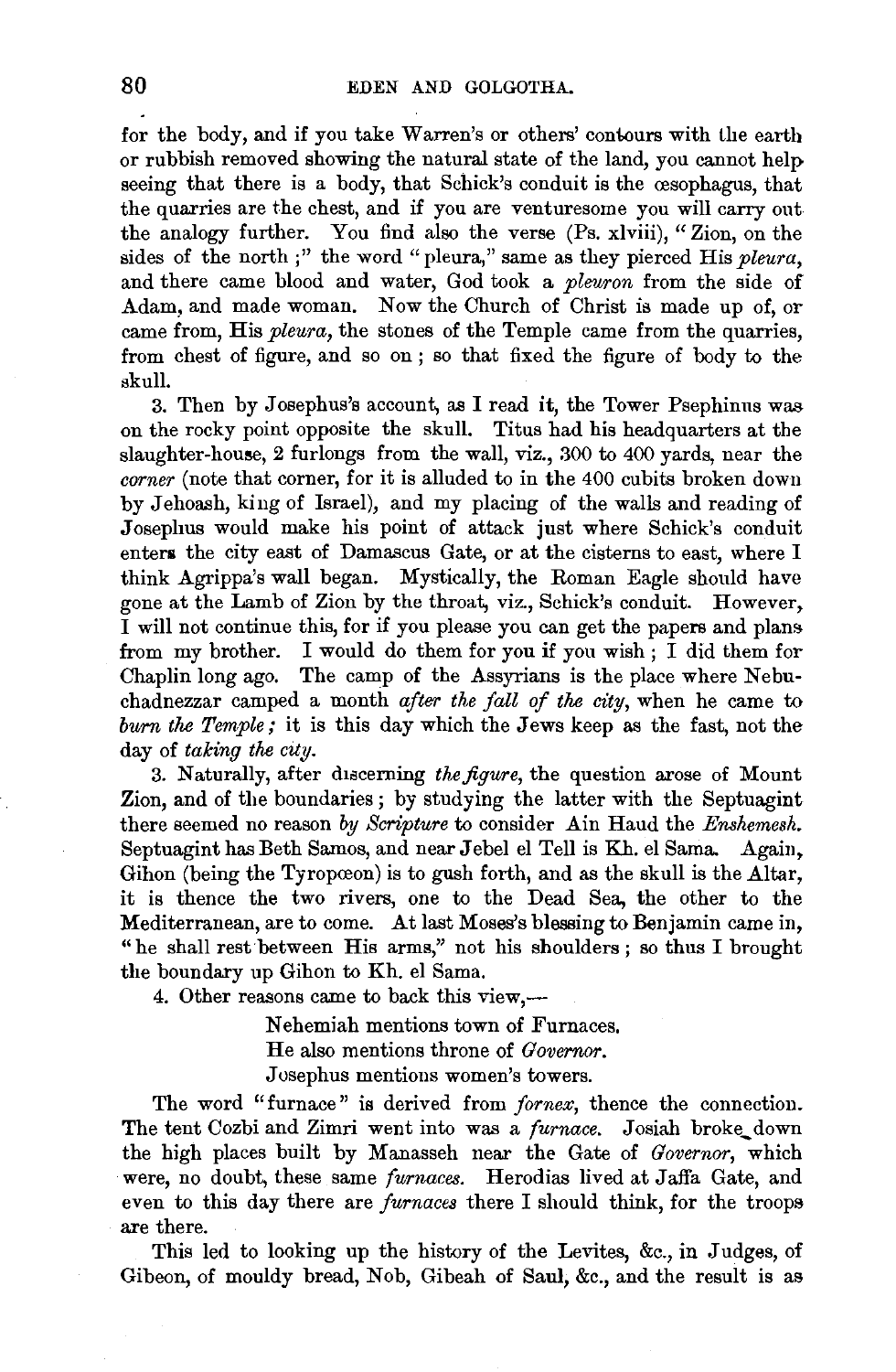for the body, and if you take Warren's or others' contours with the earth or rubbish removed showing the natural state of the land, you cannot help seeing that there is a body, that Schick's conduit is the cesophagus, that the quarries are the chest, and if you are venturesome you will carry out the analogy further. You find also the verse (Ps. xlviii), "Zion, on the sides of the north;" the word "pleura," same as they pierced His *pleura*, and there came blood and water, God took a *pleuron* from the side of Adam, and made woman. Now the Church of Christ is made up of, or came from, His *pleura,* the stones of the Temple came from the quarries, from chest of figure, and so on ; so that fixed the figure of body to the skull.

3. Then by Josephus's account, as I read it, the Tower Psephinus was on the rocky point opposite the skull. Titus had his headquarters at the slaughter-house, 2 furlongs from the wall, viz., 300 to 400 yards, near the *corner* (note that corner, for it is alluded to in the 400 cubits broken down by Jehoash, king of Israel), and my placing of the walls and reading of Josephus would make his point of attack just where Schick's conduit enters the city east of Damascus Gate, or at the cisterns to east, where I think Agrippa's wall began. Mystically, the Roman Eagle should have gone at the Lamb of Zion by the throat, viz., Schick's conduit. However, I will not continue this, for if you please you can get the papers and plans from my brother. I would do them for you if you wish ; I did them for Chaplin long ago. The camp of the Assyrians is the place where Nebuchadnezzar camped a month *after the fall of the city,* when he came to *burn the Temple;* it is this day which the Jews keep as the fast, not the day of *taking the city.* 

3. Naturally, after discerning *thefigure,* the question arose of Mount Zion, and of the boundaries ; by studying the latter with the Septuagint there seemed no reason *by Scripture* to consider Ain Hand the *Enshemesh.*  Septuagint has Beth Samos, and near Jebel el Tell is K.h. el Sama. Again, Gihon (being the Tyropœon) is to gush forth, and as the skull is the Altar, it is thence the two rivers, one to the Dead Sea, the other to the Mediterranean, are to come. At last Moses's blessing to Benjamin came in, "he shall rest between His arms," not his shoulders; so thus I brought the boundary up Gihon to Kh. el Sama.

4. Other reasons came to back this view,-

Nehemiah mentions town of Furnaces. He also mentions throne of *Governor.*  Josephus mentions women's towers.

The word "furnace" is derived from *fornex,* thence the connection. The tent Cozbi and Zimri went into was a *furnace*. Josiah broke down the high places built by Manasseh near the Gate of *Governor,* which were, no doubt, these same *furnaces.* Herodias lived at Jaffa Gate, and even to this day there are *furnaces* there I should think, for the troops are there.

This led to looking up the history of the Levites, &c., in Judges, of Gibeon, of mouldy bread, Nob, Gibeah of Saul, &c., and the result is as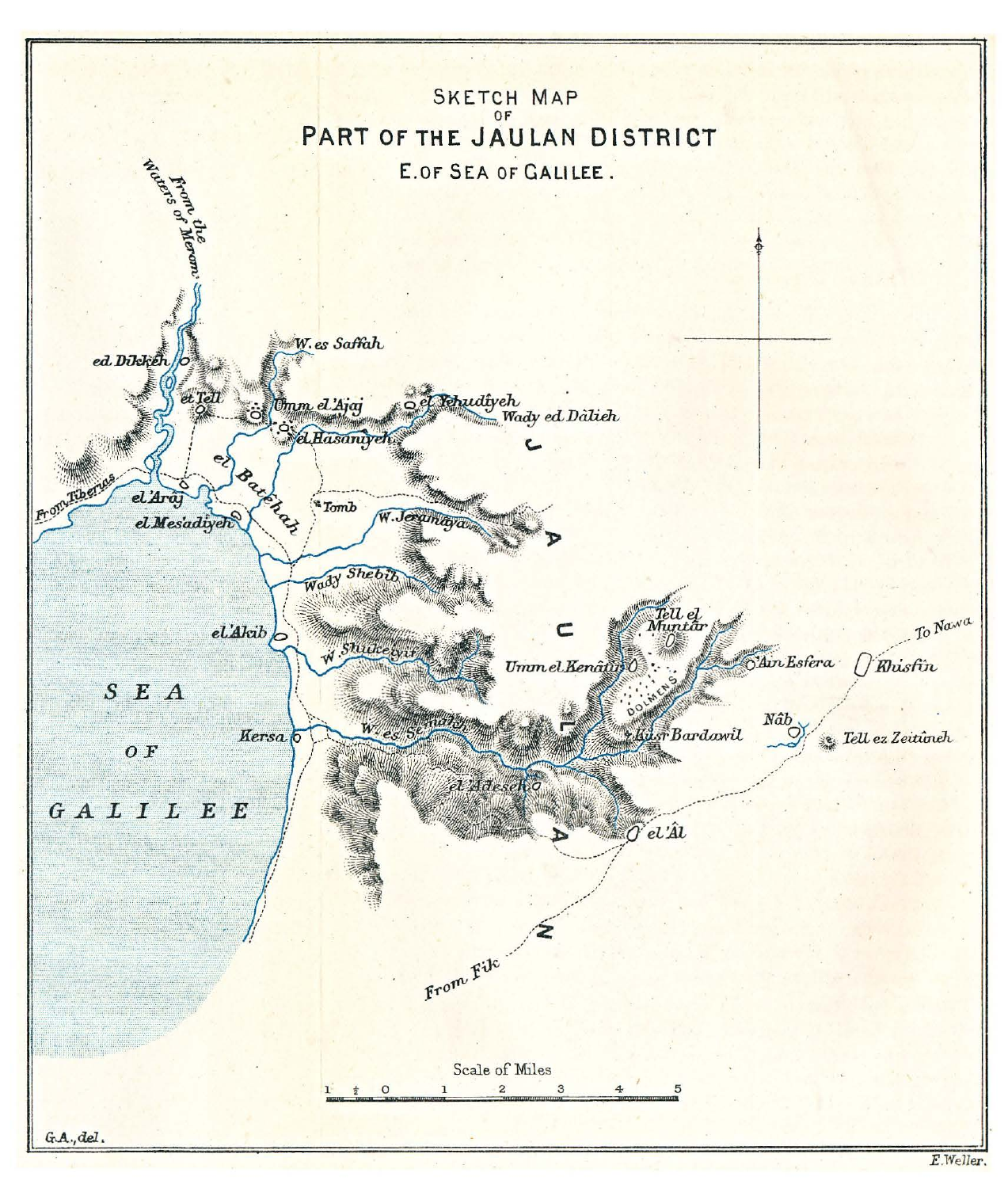